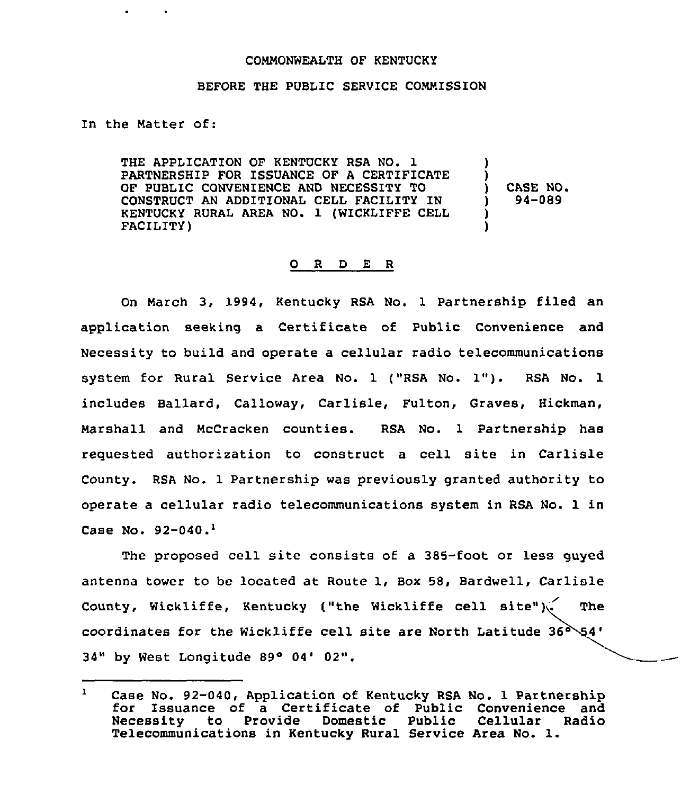## COMMONWEALTH OF KENTUCKY

## BEFORE THE PUBLIC SERVICE COMMISSION

In the Matter of:

THE APPLICATION OF KENTUCKY RSA NO. 1 PARTNERSHIP FOR ISSUANCE OF A CERTIFICATE OF PUBLIC CONVENIENCE AND NECESSITY TO CONSTRUCT AN ADDITIONAL CELL FACILITY IN KENTUCKY RURAL AREA NO. 1 (WICKLIFFE CELL FACILITY) ) !  $($   $)$  CASE NO.<br>  $)$  94-089 ) 94-089 ) )

## 0 R <sup>D</sup> E R

On March 3, 1994, Kentucky RSA No. 1 Partnership filed an application seeking a Certificate of Public Convenience and Necessity to build and operate a cellular radio telecommunications system for Rural Service Area No. <sup>1</sup> ("RSA No. 1"). RSA No. <sup>1</sup> includes Ballard, Calloway, Carlisle, Fulton, Graves, Hickman, Marshall and McCracken counties. RSA No. 1 Partnership has requested authorization to construct a cell site in Carlisle County. RSA No. 1 Partnership was previously granted authority to operate a cellular radio telecommunications system in RSA No. 1 in Case No.  $92-040.$ <sup>1</sup>

The proposed cell site consists of a 385-foot or less quyed antenna tower to be located at Route 1, Box 58, Bardwell, Carlisle County, Wickliffe, Kentucky ("the Wickliffe cell site") $\checkmark$  The coordinates for the Wickliffe cell site are North Latitude  $36^{\circ}$   $54^{\circ}$ 34" by West Longitude 89° 04' 02".

 $\mathbf{I}$ Case No. 92-040, Application of Kentucky RSA No. 1 Partnership for Issuance of a Certificate of Public Convenience and<br>Necessity to Provide Domestic Public Cellular Radio to Provide Telecommunications in Kentucky Rural Service Area No. l.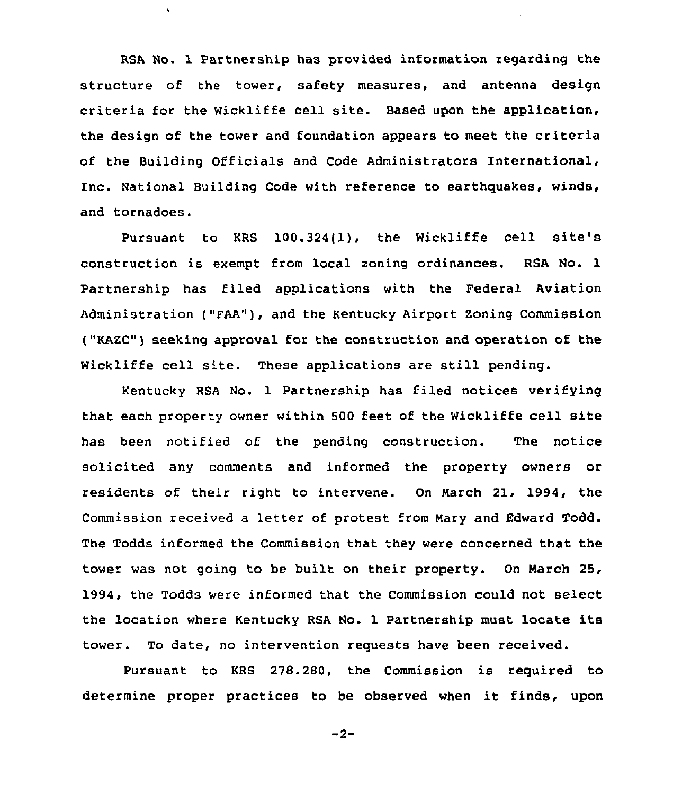RSA No. 1 Partnership has provided information regarding the structure of the tower, safety measures, and antenna design criteria for the Wickliffe cell site. Based upon the application, the design of the tower and foundation appears to meet the criteria of the Building Officials and Code Administrators International, Inc. National Building Code with reference to earthquakes, winds, and tornadoes.

Pursuant to KRS 100.324(1), the Wickliffe cell site's construction is exempt from local zoning ordinances. RSA No. 1 Partnership has filed applications with the Federal Aviation Administration ("FAA"), and the Kentucky Airport Zoning Commission ("KAZC") seeking approval for the construction and operation of the Wickliffe cell site. These applications are still pending.

Kentucky RSA No. 1 Partnership has filed notices verifying that each property owner within 500 feet of the Wickliffe cell site has been notified of the pending construction. The notice solicited any comments and informed the property owners or residents of their right to intervene. On Narch 21, 1994, the Commission received a letter of protest from Nary and Edward Todd. The Todds informed the Commission that they were concerned that the tower was not going to be built on their property. On March 25, 1994, the Todds were informed that the Commission could not select the location where Kentucky RSA No. 1 Partnership must locate its tower. To date, no intervention requests have been received.

Pursuant to KRS 278.280, the Commission is required to determine proper practices to be observed when it finds, upon

 $-2-$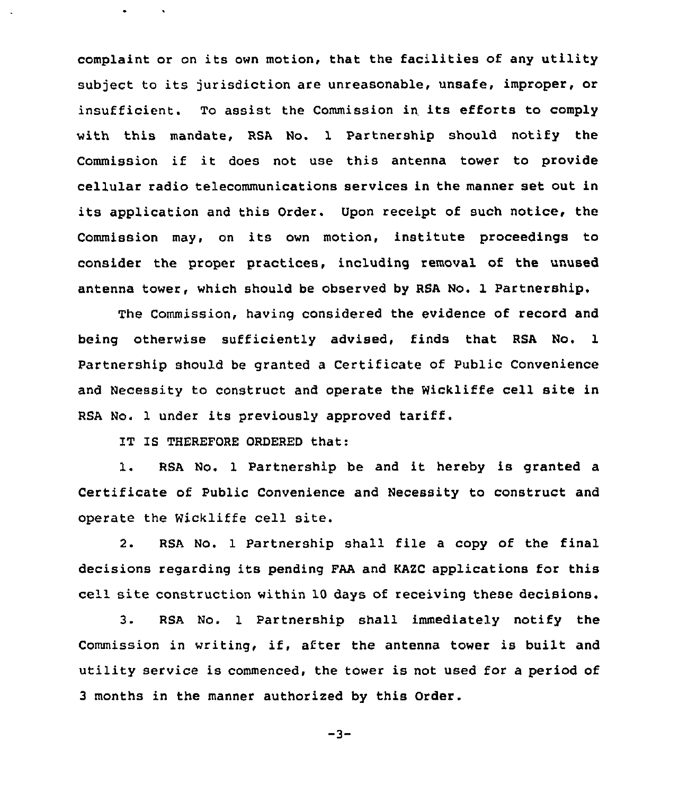complaint or on its own motion, that the facilities of any utility subject to its jurisdiction are unreasonable, unsafe, improper, or insufficient. To assist the Commission in its efforts to comply with this mandate, RSA No. 1 Partnership should notify the Commission if it does not use this antenna tower to provide cellular radio telecommunications services in the manner set out in its application and this Order. Upon receipt of such notice, the Commission may, on its own motion, institute proceedings to consider the proper practices, including removal of the unused antenna tower, which should be observed by RSA No. 1 Partnership,

The Commission, having considered the evidence of record and being otherwise sufficiently advised, finds that RSA No. 1 Partnership should be granted a Certificate of Public Convenience and Necessity to construct and operate the Wickliffe cell site in RSA No. <sup>1</sup> under its previously approved tariff.

IT IS THEREFORE ORDERED that:

1. RSA No. <sup>1</sup> Partnership be and it hereby is granted <sup>a</sup> Certificate of Public Convenience and Necessity to construct and operate the Wickliffe cell site.

2. RSA No. 1 Partnership shall file a copy of the final decisions regarding its pending FAA and KAZC applications for this cell site construction within 10 days of receiving these decisions.

3. RSA No. 1 Partnership shall immediately notify the Commission in writing, if, after the antenna tower is built and utility service is commenced, the tower is not used for <sup>a</sup> period of 3 months in the manner authorized by this Order.

$$
-3 -
$$